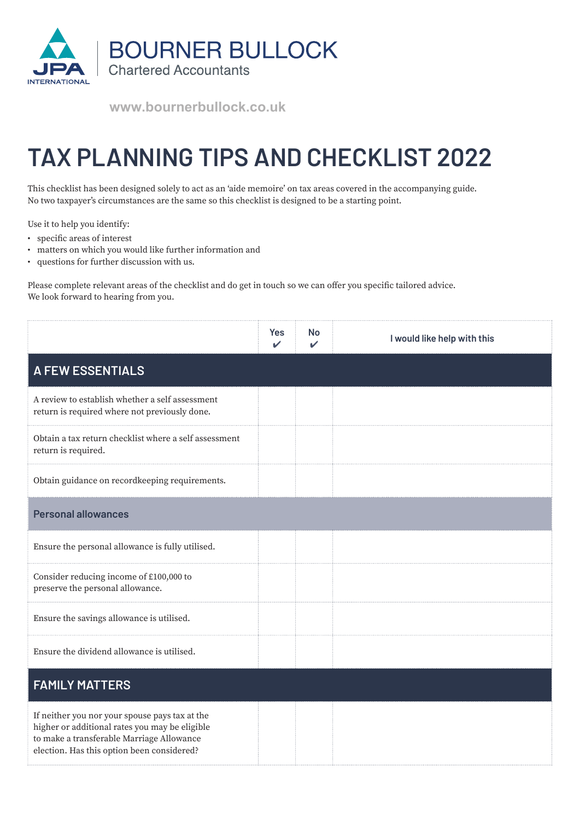

**www.bournerbullock.co.uk**

## **TAX PLANNING TIPS AND CHECKLIST 2022**

This checklist has been designed solely to act as an 'aide memoire' on tax areas covered in the accompanying guide. No two taxpayer's circumstances are the same so this checklist is designed to be a starting point.

Use it to help you identify:

- specific areas of interest
- matters on which you would like further information and
- questions for further discussion with us.

Please complete relevant areas of the checklist and do get in touch so we can offer you specific tailored advice. We look forward to hearing from you.

|                                                                                                                                                                                             | <b>Yes</b> | No | I would like help with this |
|---------------------------------------------------------------------------------------------------------------------------------------------------------------------------------------------|------------|----|-----------------------------|
| <b>A FEW ESSENTIALS</b>                                                                                                                                                                     |            |    |                             |
| A review to establish whether a self assessment<br>return is required where not previously done.                                                                                            |            |    |                             |
| Obtain a tax return checklist where a self assessment<br>return is required.                                                                                                                |            |    |                             |
| Obtain guidance on recordkeeping requirements.                                                                                                                                              |            |    |                             |
| <b>Personal allowances</b>                                                                                                                                                                  |            |    |                             |
| Ensure the personal allowance is fully utilised.                                                                                                                                            |            |    |                             |
| Consider reducing income of £100,000 to<br>preserve the personal allowance.                                                                                                                 |            |    |                             |
| Ensure the savings allowance is utilised.                                                                                                                                                   |            |    |                             |
| Ensure the dividend allowance is utilised.                                                                                                                                                  |            |    |                             |
| <b>FAMILY MATTERS</b>                                                                                                                                                                       |            |    |                             |
| If neither you nor your spouse pays tax at the<br>higher or additional rates you may be eligible<br>to make a transferable Marriage Allowance<br>election. Has this option been considered? |            |    |                             |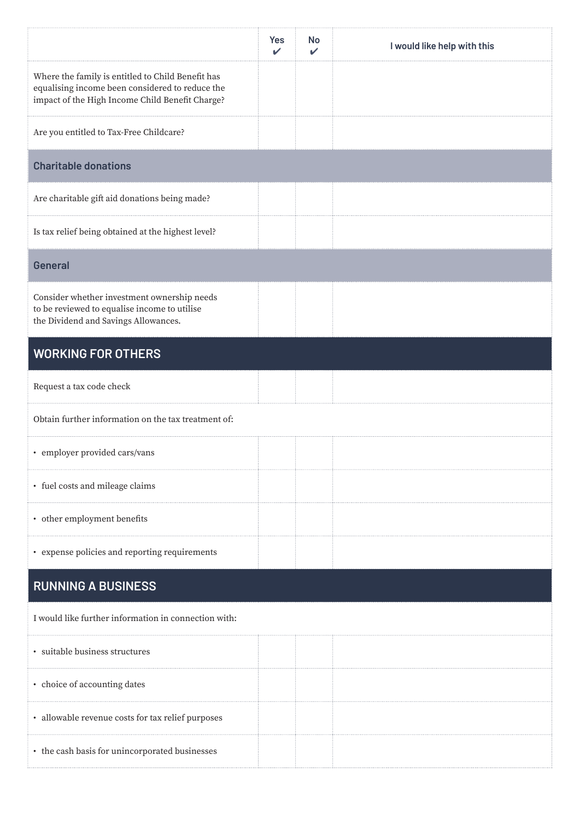|                                                                                                                                                         | Yes<br>$\mathbf{v}$ | No<br>✓ | I would like help with this |
|---------------------------------------------------------------------------------------------------------------------------------------------------------|---------------------|---------|-----------------------------|
| Where the family is entitled to Child Benefit has<br>equalising income been considered to reduce the<br>impact of the High Income Child Benefit Charge? |                     |         |                             |
| Are you entitled to Tax-Free Childcare?                                                                                                                 |                     |         |                             |
| <b>Charitable donations</b>                                                                                                                             |                     |         |                             |
| Are charitable gift aid donations being made?                                                                                                           |                     |         |                             |
| Is tax relief being obtained at the highest level?                                                                                                      |                     |         |                             |
| <b>General</b>                                                                                                                                          |                     |         |                             |
| Consider whether investment ownership needs<br>to be reviewed to equalise income to utilise<br>the Dividend and Savings Allowances.                     |                     |         |                             |
| <b>WORKING FOR OTHERS</b>                                                                                                                               |                     |         |                             |
| Request a tax code check                                                                                                                                |                     |         |                             |
| Obtain further information on the tax treatment of:                                                                                                     |                     |         |                             |
| • employer provided cars/vans                                                                                                                           |                     |         |                             |
| • fuel costs and mileage claims                                                                                                                         |                     |         |                             |
| • other employment benefits                                                                                                                             |                     |         |                             |
| • expense policies and reporting requirements                                                                                                           |                     |         |                             |
| <b>RUNNING A BUSINESS</b>                                                                                                                               |                     |         |                             |
| I would like further information in connection with:                                                                                                    |                     |         |                             |
| · suitable business structures                                                                                                                          |                     |         |                             |
| • choice of accounting dates                                                                                                                            |                     |         |                             |
| · allowable revenue costs for tax relief purposes                                                                                                       |                     |         |                             |
| • the cash basis for unincorporated businesses                                                                                                          |                     |         |                             |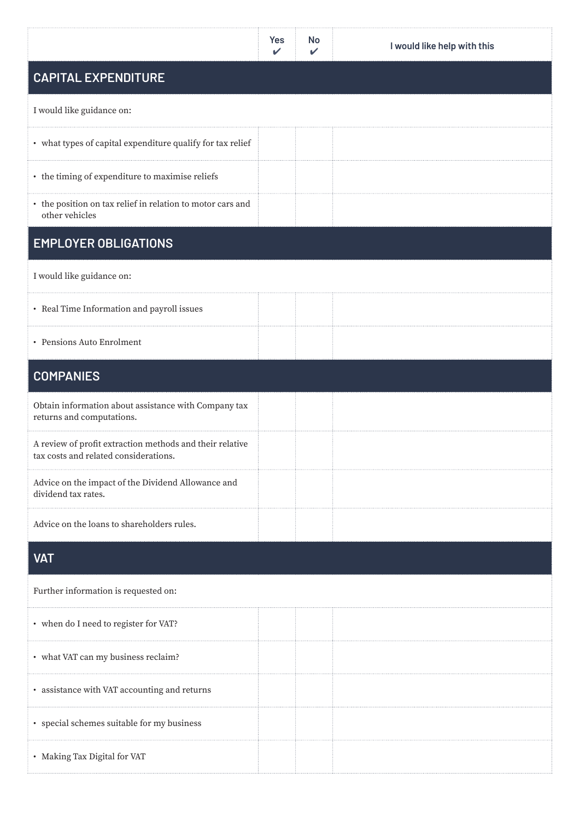|                                                                                                   | Yes<br>✓ | <b>No</b> | I would like help with this |
|---------------------------------------------------------------------------------------------------|----------|-----------|-----------------------------|
| <b>CAPITAL EXPENDITURE</b>                                                                        |          |           |                             |
| I would like guidance on:                                                                         |          |           |                             |
| • what types of capital expenditure qualify for tax relief                                        |          |           |                             |
| • the timing of expenditure to maximise reliefs                                                   |          |           |                             |
| • the position on tax relief in relation to motor cars and<br>other vehicles                      |          |           |                             |
| <b>EMPLOYER OBLIGATIONS</b>                                                                       |          |           |                             |
| I would like guidance on:                                                                         |          |           |                             |
| • Real Time Information and payroll issues                                                        |          |           |                             |
| • Pensions Auto Enrolment                                                                         |          |           |                             |
| <b>COMPANIES</b>                                                                                  |          |           |                             |
| Obtain information about assistance with Company tax<br>returns and computations.                 |          |           |                             |
| A review of profit extraction methods and their relative<br>tax costs and related considerations. |          |           |                             |
| Advice on the impact of the Dividend Allowance and<br>dividend tax rates.                         |          |           |                             |
| Advice on the loans to shareholders rules.                                                        |          |           |                             |
| <b>VAT</b>                                                                                        |          |           |                             |
| Further information is requested on:                                                              |          |           |                             |
| • when do I need to register for VAT?                                                             |          |           |                             |
| • what VAT can my business reclaim?                                                               |          |           |                             |
| • assistance with VAT accounting and returns                                                      |          |           |                             |
| • special schemes suitable for my business                                                        |          |           |                             |
| • Making Tax Digital for VAT                                                                      |          |           |                             |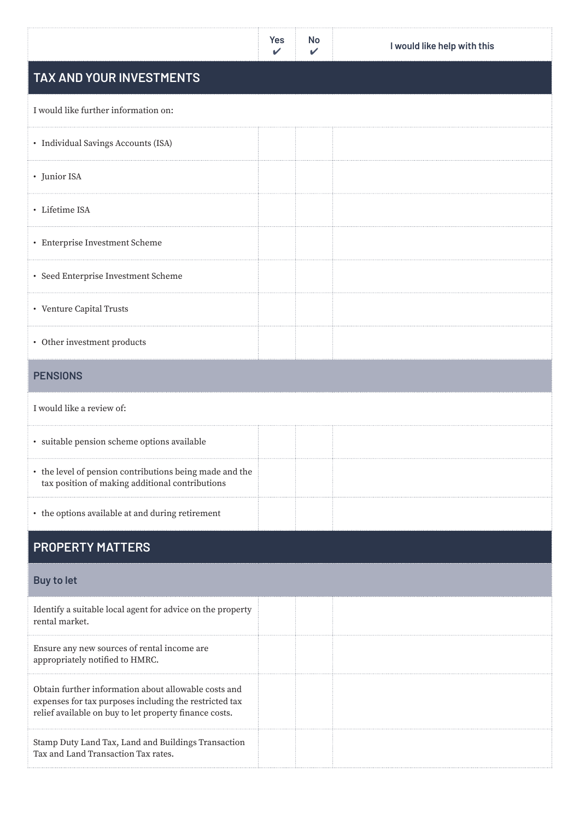|                                                                                                                                                                          | <b>Yes</b> | <b>No</b> | I would like help with this |
|--------------------------------------------------------------------------------------------------------------------------------------------------------------------------|------------|-----------|-----------------------------|
| TAX AND YOUR INVESTMENTS                                                                                                                                                 |            |           |                             |
| I would like further information on:                                                                                                                                     |            |           |                             |
| · Individual Savings Accounts (ISA)                                                                                                                                      |            |           |                             |
| • Junior ISA                                                                                                                                                             |            |           |                             |
| · Lifetime ISA                                                                                                                                                           |            |           |                             |
| • Enterprise Investment Scheme                                                                                                                                           |            |           |                             |
| • Seed Enterprise Investment Scheme                                                                                                                                      |            |           |                             |
| • Venture Capital Trusts                                                                                                                                                 |            |           |                             |
| • Other investment products                                                                                                                                              |            |           |                             |
| <b>PENSIONS</b>                                                                                                                                                          |            |           |                             |
| I would like a review of:                                                                                                                                                |            |           |                             |
| · suitable pension scheme options available                                                                                                                              |            |           |                             |
| • the level of pension contributions being made and the<br>tax position of making additional contributions                                                               |            |           |                             |
| • the options available at and during retirement                                                                                                                         |            |           |                             |
| <b>PROPERTY MATTERS</b>                                                                                                                                                  |            |           |                             |
| <b>Buy to let</b>                                                                                                                                                        |            |           |                             |
| Identify a suitable local agent for advice on the property<br>rental market.                                                                                             |            |           |                             |
| Ensure any new sources of rental income are<br>appropriately notified to HMRC.                                                                                           |            |           |                             |
| Obtain further information about allowable costs and<br>expenses for tax purposes including the restricted tax<br>relief available on buy to let property finance costs. |            |           |                             |
| Stamp Duty Land Tax, Land and Buildings Transaction<br>Tax and Land Transaction Tax rates.                                                                               |            |           |                             |